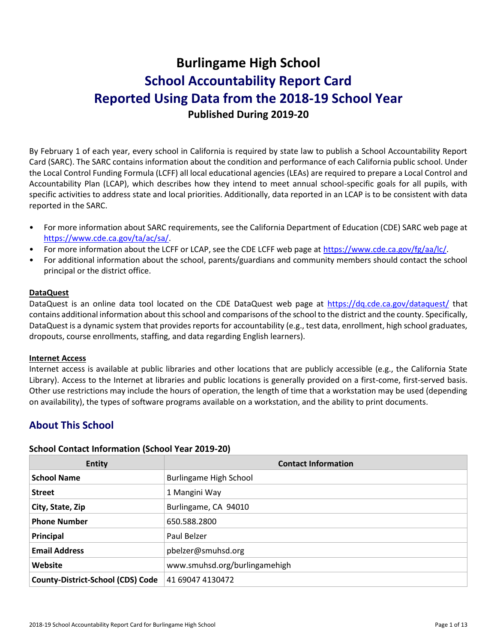# **Burlingame High School School Accountability Report Card Reported Using Data from the 2018-19 School Year Published During 2019-20**

By February 1 of each year, every school in California is required by state law to publish a School Accountability Report Card (SARC). The SARC contains information about the condition and performance of each California public school. Under the Local Control Funding Formula (LCFF) all local educational agencies (LEAs) are required to prepare a Local Control and Accountability Plan (LCAP), which describes how they intend to meet annual school-specific goals for all pupils, with specific activities to address state and local priorities. Additionally, data reported in an LCAP is to be consistent with data reported in the SARC.

- For more information about SARC requirements, see the California Department of Education (CDE) SARC web page at [https://www.cde.ca.gov/ta/ac/sa/.](https://www.cde.ca.gov/ta/ac/sa/)
- For more information about the LCFF or LCAP, see the CDE LCFF web page at [https://www.cde.ca.gov/fg/aa/lc/.](https://www.cde.ca.gov/fg/aa/lc/)
- For additional information about the school, parents/guardians and community members should contact the school principal or the district office.

#### **DataQuest**

DataQuest is an online data tool located on the CDE DataQuest web page at<https://dq.cde.ca.gov/dataquest/> that contains additional information about this school and comparisons of the school to the district and the county. Specifically, DataQuest is a dynamic system that provides reports for accountability (e.g., test data, enrollment, high school graduates, dropouts, course enrollments, staffing, and data regarding English learners).

#### **Internet Access**

Internet access is available at public libraries and other locations that are publicly accessible (e.g., the California State Library). Access to the Internet at libraries and public locations is generally provided on a first-come, first-served basis. Other use restrictions may include the hours of operation, the length of time that a workstation may be used (depending on availability), the types of software programs available on a workstation, and the ability to print documents.

# **About This School**

#### **School Contact Information (School Year 2019-20)**

| <b>Entity</b>                            | <b>Contact Information</b>    |
|------------------------------------------|-------------------------------|
| <b>School Name</b>                       | Burlingame High School        |
| <b>Street</b>                            | 1 Mangini Way                 |
| City, State, Zip                         | Burlingame, CA 94010          |
| <b>Phone Number</b>                      | 650.588.2800                  |
| Principal                                | Paul Belzer                   |
| <b>Email Address</b>                     | pbelzer@smuhsd.org            |
| Website                                  | www.smuhsd.org/burlingamehigh |
| <b>County-District-School (CDS) Code</b> | 41 69047 4130472              |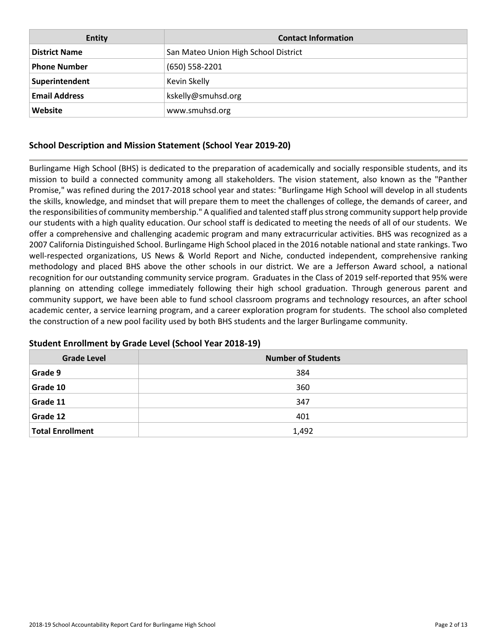| <b>Entity</b>        | <b>Contact Information</b>           |
|----------------------|--------------------------------------|
| <b>District Name</b> | San Mateo Union High School District |
| <b>Phone Number</b>  | $(650) 558 - 2201$                   |
| Superintendent       | Kevin Skelly                         |
| <b>Email Address</b> | kskelly@smuhsd.org                   |
| Website              | www.smuhsd.org                       |

# **School Description and Mission Statement (School Year 2019-20)**

Burlingame High School (BHS) is dedicated to the preparation of academically and socially responsible students, and its mission to build a connected community among all stakeholders. The vision statement, also known as the "Panther Promise," was refined during the 2017-2018 school year and states: "Burlingame High School will develop in all students the skills, knowledge, and mindset that will prepare them to meet the challenges of college, the demands of career, and the responsibilities of community membership." A qualified and talented staff plus strong community support help provide our students with a high quality education. Our school staff is dedicated to meeting the needs of all of our students. We offer a comprehensive and challenging academic program and many extracurricular activities. BHS was recognized as a 2007 California Distinguished School. Burlingame High School placed in the 2016 notable national and state rankings. Two well-respected organizations, US News & World Report and Niche, conducted independent, comprehensive ranking methodology and placed BHS above the other schools in our district. We are a Jefferson Award school, a national recognition for our outstanding community service program. Graduates in the Class of 2019 self-reported that 95% were planning on attending college immediately following their high school graduation. Through generous parent and community support, we have been able to fund school classroom programs and technology resources, an after school academic center, a service learning program, and a career exploration program for students. The school also completed the construction of a new pool facility used by both BHS students and the larger Burlingame community.

| <b>Grade Level</b>      | <b>Number of Students</b> |  |  |  |  |
|-------------------------|---------------------------|--|--|--|--|
| Grade 9                 | 384                       |  |  |  |  |
| Grade 10                | 360                       |  |  |  |  |
| Grade 11                | 347                       |  |  |  |  |
| Grade 12                | 401                       |  |  |  |  |
| <b>Total Enrollment</b> | 1,492                     |  |  |  |  |

## **Student Enrollment by Grade Level (School Year 2018-19)**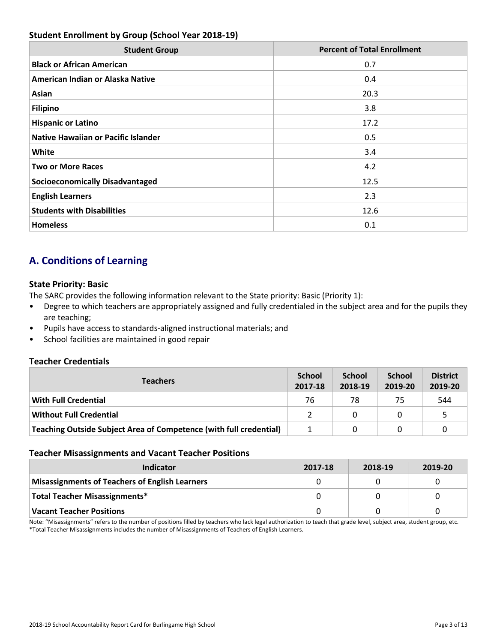# **Student Enrollment by Group (School Year 2018-19)**

| <b>Student Group</b>                       | <b>Percent of Total Enrollment</b> |
|--------------------------------------------|------------------------------------|
| <b>Black or African American</b>           | 0.7                                |
| American Indian or Alaska Native           | 0.4                                |
| Asian                                      | 20.3                               |
| <b>Filipino</b>                            | 3.8 <sub>2</sub>                   |
| <b>Hispanic or Latino</b>                  | 17.2                               |
| <b>Native Hawaiian or Pacific Islander</b> | 0.5                                |
| White                                      | 3.4                                |
| <b>Two or More Races</b>                   | 4.2                                |
| <b>Socioeconomically Disadvantaged</b>     | 12.5                               |
| <b>English Learners</b>                    | 2.3                                |
| <b>Students with Disabilities</b>          | 12.6                               |
| <b>Homeless</b>                            | 0.1                                |

# **A. Conditions of Learning**

## **State Priority: Basic**

The SARC provides the following information relevant to the State priority: Basic (Priority 1):

- Degree to which teachers are appropriately assigned and fully credentialed in the subject area and for the pupils they are teaching;
- Pupils have access to standards-aligned instructional materials; and
- School facilities are maintained in good repair

## **Teacher Credentials**

| <b>Teachers</b>                                                    |    | <b>School</b><br>2018-19 | <b>School</b><br>2019-20 | <b>District</b><br>2019-20 |
|--------------------------------------------------------------------|----|--------------------------|--------------------------|----------------------------|
| <b>With Full Credential</b>                                        | 76 | 78                       | 75                       | 544                        |
| <b>Without Full Credential</b>                                     |    | 0                        |                          |                            |
| Teaching Outside Subject Area of Competence (with full credential) |    |                          |                          |                            |

#### **Teacher Misassignments and Vacant Teacher Positions**

| Indicator                                             | 2017-18 | 2018-19 | 2019-20 |
|-------------------------------------------------------|---------|---------|---------|
| <b>Misassignments of Teachers of English Learners</b> |         |         |         |
| Total Teacher Misassignments*                         |         |         |         |
| <b>Vacant Teacher Positions</b>                       |         |         |         |

Note: "Misassignments" refers to the number of positions filled by teachers who lack legal authorization to teach that grade level, subject area, student group, etc. \*Total Teacher Misassignments includes the number of Misassignments of Teachers of English Learners.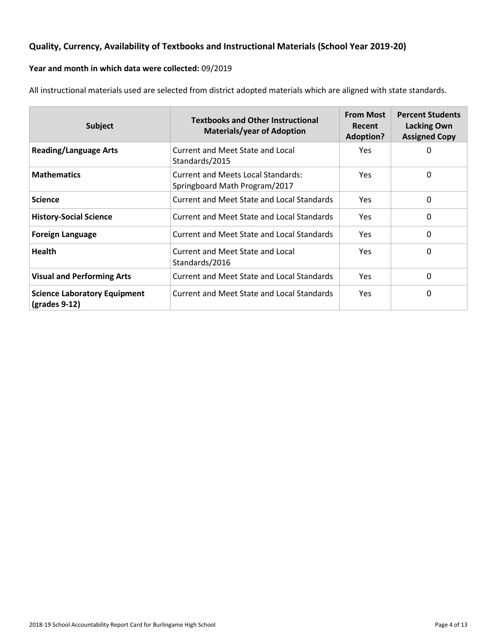# **Quality, Currency, Availability of Textbooks and Instructional Materials (School Year 2019-20)**

# **Year and month in which data were collected:** 09/2019

All instructional materials used are selected from district adopted materials which are aligned with state standards.

| <b>Subject</b>                                         | <b>Textbooks and Other Instructional</b><br><b>Materials/year of Adoption</b> | <b>From Most</b><br>Recent<br><b>Adoption?</b> | <b>Percent Students</b><br><b>Lacking Own</b><br><b>Assigned Copy</b> |
|--------------------------------------------------------|-------------------------------------------------------------------------------|------------------------------------------------|-----------------------------------------------------------------------|
| <b>Reading/Language Arts</b>                           | Current and Meet State and Local<br>Standards/2015                            | Yes.                                           | 0                                                                     |
| <b>Mathematics</b>                                     | <b>Current and Meets Local Standards:</b><br>Springboard Math Program/2017    | <b>Yes</b>                                     | 0                                                                     |
| <b>Science</b>                                         | Current and Meet State and Local Standards                                    | <b>Yes</b>                                     | 0                                                                     |
| <b>History-Social Science</b>                          | Current and Meet State and Local Standards                                    | Yes                                            | 0                                                                     |
| <b>Foreign Language</b>                                | Current and Meet State and Local Standards                                    | <b>Yes</b>                                     | 0                                                                     |
| <b>Health</b>                                          | Current and Meet State and Local<br>Standards/2016                            | Yes.                                           | 0                                                                     |
| <b>Visual and Performing Arts</b>                      | Current and Meet State and Local Standards                                    | <b>Yes</b>                                     | 0                                                                     |
| <b>Science Laboratory Equipment</b><br>$(grades 9-12)$ | Current and Meet State and Local Standards                                    | <b>Yes</b>                                     | 0                                                                     |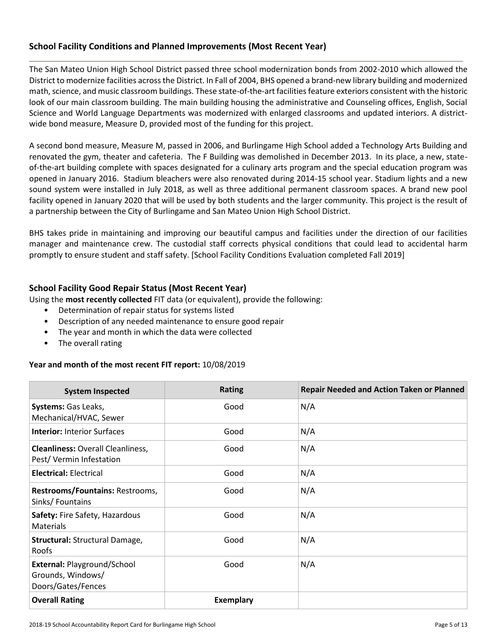## **School Facility Conditions and Planned Improvements (Most Recent Year)**

The San Mateo Union High School District passed three school modernization bonds from 2002-2010 which allowed the District to modernize facilities across the District. In Fall of 2004, BHS opened a brand-new library building and modernized math, science, and music classroom buildings. These state-of-the-art facilities feature exteriors consistent with the historic look of our main classroom building. The main building housing the administrative and Counseling offices, English, Social Science and World Language Departments was modernized with enlarged classrooms and updated interiors. A districtwide bond measure, Measure D, provided most of the funding for this project.

A second bond measure, Measure M, passed in 2006, and Burlingame High School added a Technology Arts Building and renovated the gym, theater and cafeteria. The F Building was demolished in December 2013. In its place, a new, stateof-the-art building complete with spaces designated for a culinary arts program and the special education program was opened in January 2016. Stadium bleachers were also renovated during 2014-15 school year. Stadium lights and a new sound system were installed in July 2018, as well as three additional permanent classroom spaces. A brand new pool facility opened in January 2020 that will be used by both students and the larger community. This project is the result of a partnership between the City of Burlingame and San Mateo Union High School District.

BHS takes pride in maintaining and improving our beautiful campus and facilities under the direction of our facilities manager and maintenance crew. The custodial staff corrects physical conditions that could lead to accidental harm promptly to ensure student and staff safety. [School Facility Conditions Evaluation completed Fall 2019]

## **School Facility Good Repair Status (Most Recent Year)**

Using the **most recently collected** FIT data (or equivalent), provide the following:

- Determination of repair status for systems listed
- Description of any needed maintenance to ensure good repair
- The year and month in which the data were collected
- The overall rating

#### **Year and month of the most recent FIT report:** 10/08/2019

| <b>System Inspected</b>                                                | <b>Rating</b>    | <b>Repair Needed and Action Taken or Planned</b> |
|------------------------------------------------------------------------|------------------|--------------------------------------------------|
| Systems: Gas Leaks,<br>Mechanical/HVAC, Sewer                          | Good             | N/A                                              |
| <b>Interior: Interior Surfaces</b>                                     | Good             | N/A                                              |
| <b>Cleanliness: Overall Cleanliness,</b><br>Pest/Vermin Infestation    | Good             | N/A                                              |
| <b>Electrical: Electrical</b>                                          | Good             | N/A                                              |
| Restrooms/Fountains: Restrooms,<br>Sinks/Fountains                     | Good             | N/A                                              |
| Safety: Fire Safety, Hazardous<br>Materials                            | Good             | N/A                                              |
| <b>Structural: Structural Damage,</b><br>Roofs                         | Good             | N/A                                              |
| External: Playground/School<br>Grounds, Windows/<br>Doors/Gates/Fences | Good             | N/A                                              |
| <b>Overall Rating</b>                                                  | <b>Exemplary</b> |                                                  |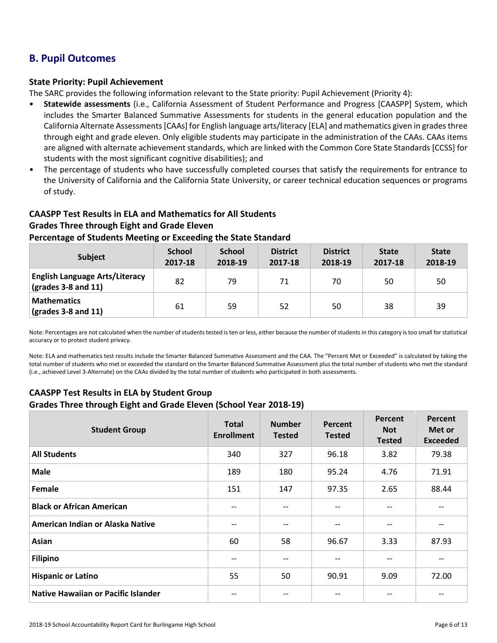# **B. Pupil Outcomes**

#### **State Priority: Pupil Achievement**

The SARC provides the following information relevant to the State priority: Pupil Achievement (Priority 4):

- **Statewide assessments** (i.e., California Assessment of Student Performance and Progress [CAASPP] System, which includes the Smarter Balanced Summative Assessments for students in the general education population and the California Alternate Assessments [CAAs] for English language arts/literacy [ELA] and mathematics given in grades three through eight and grade eleven. Only eligible students may participate in the administration of the CAAs. CAAs items are aligned with alternate achievement standards, which are linked with the Common Core State Standards [CCSS] for students with the most significant cognitive disabilities); and
- The percentage of students who have successfully completed courses that satisfy the requirements for entrance to the University of California and the California State University, or career technical education sequences or programs of study.

# **CAASPP Test Results in ELA and Mathematics for All Students Grades Three through Eight and Grade Eleven Percentage of Students Meeting or Exceeding the State Standard**

| <b>Subject</b>                                                                    | <b>School</b><br>2017-18 | <b>School</b><br>2018-19 | <b>District</b><br>2017-18 | <b>District</b><br>2018-19 | <b>State</b><br>2017-18 | <b>State</b><br>2018-19 |
|-----------------------------------------------------------------------------------|--------------------------|--------------------------|----------------------------|----------------------------|-------------------------|-------------------------|
| <b>English Language Arts/Literacy</b><br>$\left(\text{grades }3-8\right)$ and 11) | 82                       | 79                       | 71                         | 70                         | 50                      | 50                      |
| <b>Mathematics</b><br>$\frac{1}{2}$ (grades 3-8 and 11)                           | 61                       | 59                       | 52                         | 50                         | 38                      | 39                      |

Note: Percentages are not calculated when the number of students tested is ten or less, either because the number of students in this category is too small for statistical accuracy or to protect student privacy.

Note: ELA and mathematics test results include the Smarter Balanced Summative Assessment and the CAA. The "Percent Met or Exceeded" is calculated by taking the total number of students who met or exceeded the standard on the Smarter Balanced Summative Assessment plus the total number of students who met the standard (i.e., achieved Level 3-Alternate) on the CAAs divided by the total number of students who participated in both assessments.

# **CAASPP Test Results in ELA by Student Group Grades Three through Eight and Grade Eleven (School Year 2018-19)**

| <b>Student Group</b>                       | <b>Total</b><br><b>Enrollment</b> | <b>Number</b><br><b>Tested</b> | Percent<br><b>Tested</b>              | Percent<br><b>Not</b><br><b>Tested</b> | Percent<br>Met or<br><b>Exceeded</b> |
|--------------------------------------------|-----------------------------------|--------------------------------|---------------------------------------|----------------------------------------|--------------------------------------|
| <b>All Students</b>                        | 340                               | 327                            | 96.18                                 | 3.82                                   | 79.38                                |
| <b>Male</b>                                | 189                               | 180                            | 95.24                                 | 4.76                                   | 71.91                                |
| Female                                     | 151                               | 147                            | 97.35                                 | 2.65                                   | 88.44                                |
| <b>Black or African American</b>           | $- -$                             | --                             | $\qquad \qquad -$                     | --                                     |                                      |
| American Indian or Alaska Native           | $-$                               | --                             | $\hspace{0.05cm}$ – $\hspace{0.05cm}$ | --                                     |                                      |
| Asian                                      | 60                                | 58                             | 96.67                                 | 3.33                                   | 87.93                                |
| <b>Filipino</b>                            |                                   |                                | $- -$                                 |                                        |                                      |
| <b>Hispanic or Latino</b>                  | 55                                | 50                             | 90.91                                 | 9.09                                   | 72.00                                |
| <b>Native Hawaiian or Pacific Islander</b> |                                   |                                | --                                    |                                        |                                      |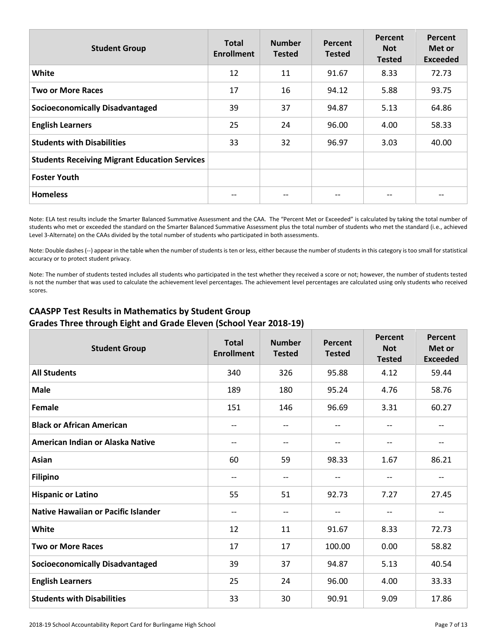| <b>Student Group</b>                                 | <b>Total</b><br><b>Enrollment</b> | <b>Number</b><br><b>Tested</b> | Percent<br><b>Tested</b> | Percent<br><b>Not</b><br><b>Tested</b> | Percent<br>Met or<br><b>Exceeded</b> |
|------------------------------------------------------|-----------------------------------|--------------------------------|--------------------------|----------------------------------------|--------------------------------------|
| White                                                | 12                                | 11                             | 91.67                    | 8.33                                   | 72.73                                |
| <b>Two or More Races</b>                             | 17                                | 16                             | 94.12                    | 5.88                                   | 93.75                                |
| <b>Socioeconomically Disadvantaged</b>               | 39                                | 37                             | 94.87                    | 5.13                                   | 64.86                                |
| <b>English Learners</b>                              | 25                                | 24                             | 96.00                    | 4.00                                   | 58.33                                |
| <b>Students with Disabilities</b>                    | 33                                | 32                             | 96.97                    | 3.03                                   | 40.00                                |
| <b>Students Receiving Migrant Education Services</b> |                                   |                                |                          |                                        |                                      |
| <b>Foster Youth</b>                                  |                                   |                                |                          |                                        |                                      |
| <b>Homeless</b>                                      |                                   |                                | $- -$                    | --                                     |                                      |

Note: ELA test results include the Smarter Balanced Summative Assessment and the CAA. The "Percent Met or Exceeded" is calculated by taking the total number of students who met or exceeded the standard on the Smarter Balanced Summative Assessment plus the total number of students who met the standard (i.e., achieved Level 3-Alternate) on the CAAs divided by the total number of students who participated in both assessments.

Note: Double dashes (--) appear in the table when the number of students is ten or less, either because the number of students in this category is too small for statistical accuracy or to protect student privacy.

Note: The number of students tested includes all students who participated in the test whether they received a score or not; however, the number of students tested is not the number that was used to calculate the achievement level percentages. The achievement level percentages are calculated using only students who received scores.

# **CAASPP Test Results in Mathematics by Student Group Grades Three through Eight and Grade Eleven (School Year 2018-19)**

| <b>Student Group</b>                   | <b>Total</b><br><b>Enrollment</b> | <b>Number</b><br><b>Tested</b> | Percent<br><b>Tested</b> | <b>Percent</b><br><b>Not</b><br><b>Tested</b> | Percent<br>Met or<br><b>Exceeded</b> |
|----------------------------------------|-----------------------------------|--------------------------------|--------------------------|-----------------------------------------------|--------------------------------------|
| <b>All Students</b>                    | 340                               | 326                            | 95.88                    | 4.12                                          | 59.44                                |
| <b>Male</b>                            | 189                               | 180                            | 95.24                    | 4.76                                          | 58.76                                |
| Female                                 | 151                               | 146                            | 96.69                    | 3.31                                          | 60.27                                |
| <b>Black or African American</b>       | --                                | $- -$                          | $\overline{\phantom{a}}$ | $-$                                           | --                                   |
| American Indian or Alaska Native       | $-$                               | $- -$                          | $\overline{\phantom{m}}$ | --                                            | $-$                                  |
| Asian                                  | 60                                | 59                             | 98.33                    | 1.67                                          | 86.21                                |
| <b>Filipino</b>                        | --                                | --                             | $\overline{\phantom{a}}$ | $-$                                           | --                                   |
| <b>Hispanic or Latino</b>              | 55                                | 51                             | 92.73                    | 7.27                                          | 27.45                                |
| Native Hawaiian or Pacific Islander    | $-$                               | $-$                            | $-$                      | $-$                                           | $- -$                                |
| <b>White</b>                           | 12                                | 11                             | 91.67                    | 8.33                                          | 72.73                                |
| <b>Two or More Races</b>               | 17                                | 17                             | 100.00                   | 0.00                                          | 58.82                                |
| <b>Socioeconomically Disadvantaged</b> | 39                                | 37                             | 94.87                    | 5.13                                          | 40.54                                |
| <b>English Learners</b>                | 25                                | 24                             | 96.00                    | 4.00                                          | 33.33                                |
| <b>Students with Disabilities</b>      | 33                                | 30                             | 90.91                    | 9.09                                          | 17.86                                |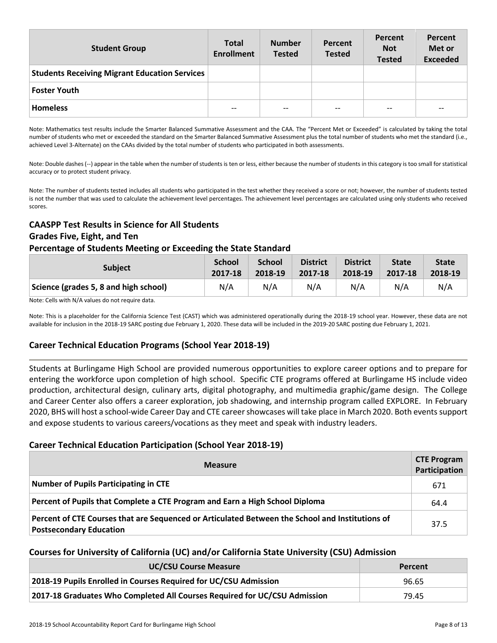| <b>Student Group</b>                                 | <b>Total</b><br><b>Enrollment</b> | <b>Number</b><br><b>Tested</b> | Percent<br><b>Tested</b> | Percent<br><b>Not</b><br><b>Tested</b> | Percent<br>Met or<br><b>Exceeded</b> |
|------------------------------------------------------|-----------------------------------|--------------------------------|--------------------------|----------------------------------------|--------------------------------------|
| <b>Students Receiving Migrant Education Services</b> |                                   |                                |                          |                                        |                                      |
| <b>Foster Youth</b>                                  |                                   |                                |                          |                                        |                                      |
| <b>Homeless</b>                                      | $- -$                             | $- -$                          | $- -$                    | --                                     | --                                   |

Note: Mathematics test results include the Smarter Balanced Summative Assessment and the CAA. The "Percent Met or Exceeded" is calculated by taking the total number of students who met or exceeded the standard on the Smarter Balanced Summative Assessment plus the total number of students who met the standard (i.e., achieved Level 3-Alternate) on the CAAs divided by the total number of students who participated in both assessments.

Note: Double dashes (--) appear in the table when the number of students is ten or less, either because the number of students in this category is too small for statistical accuracy or to protect student privacy.

Note: The number of students tested includes all students who participated in the test whether they received a score or not; however, the number of students tested is not the number that was used to calculate the achievement level percentages. The achievement level percentages are calculated using only students who received scores.

# **CAASPP Test Results in Science for All Students Grades Five, Eight, and Ten**

#### **Percentage of Students Meeting or Exceeding the State Standard**

| <b>Subject</b>                        | <b>School</b> | <b>School</b> | <b>District</b> | <b>District</b> | <b>State</b> | <b>State</b> |
|---------------------------------------|---------------|---------------|-----------------|-----------------|--------------|--------------|
|                                       | 2017-18       | 2018-19       | 2017-18         | 2018-19         | 2017-18      | 2018-19      |
| Science (grades 5, 8 and high school) | N/A           | N/A           | N/A             | N/A             | N/A          | N/A          |

Note: Cells with N/A values do not require data.

Note: This is a placeholder for the California Science Test (CAST) which was administered operationally during the 2018-19 school year. However, these data are not available for inclusion in the 2018-19 SARC posting due February 1, 2020. These data will be included in the 2019-20 SARC posting due February 1, 2021.

## **Career Technical Education Programs (School Year 2018-19)**

Students at Burlingame High School are provided numerous opportunities to explore career options and to prepare for entering the workforce upon completion of high school. Specific CTE programs offered at Burlingame HS include video production, architectural design, culinary arts, digital photography, and multimedia graphic/game design. The College and Career Center also offers a career exploration, job shadowing, and internship program called EXPLORE. In February 2020, BHS will host a school-wide Career Day and CTE career showcases will take place in March 2020. Both events support and expose students to various careers/vocations as they meet and speak with industry leaders.

## **Career Technical Education Participation (School Year 2018-19)**

| <b>Measure</b>                                                                                                                    | <b>CTE Program</b><br>Participation |
|-----------------------------------------------------------------------------------------------------------------------------------|-------------------------------------|
| <b>Number of Pupils Participating in CTE</b>                                                                                      | 671                                 |
| Percent of Pupils that Complete a CTE Program and Earn a High School Diploma                                                      | 64.4                                |
| Percent of CTE Courses that are Sequenced or Articulated Between the School and Institutions of<br><b>Postsecondary Education</b> | 37.5                                |

## **Courses for University of California (UC) and/or California State University (CSU) Admission**

| <b>UC/CSU Course Measure</b>                                              | Percent |
|---------------------------------------------------------------------------|---------|
| 2018-19 Pupils Enrolled in Courses Required for UC/CSU Admission          | 96.65   |
| 2017-18 Graduates Who Completed All Courses Required for UC/CSU Admission | 79.45   |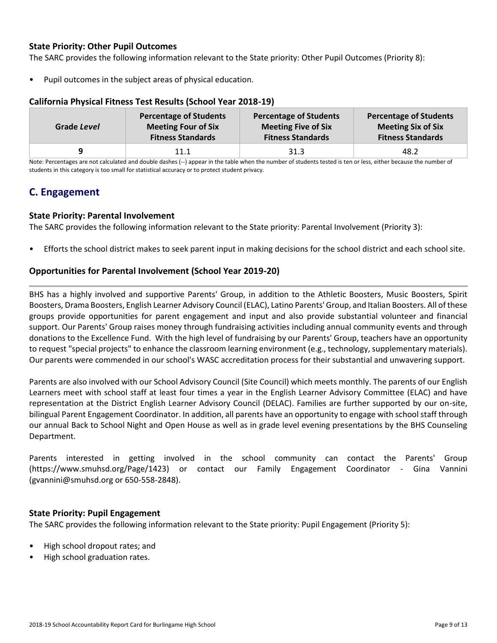#### **State Priority: Other Pupil Outcomes**

The SARC provides the following information relevant to the State priority: Other Pupil Outcomes (Priority 8):

Pupil outcomes in the subject areas of physical education.

| Grade Level | <b>Percentage of Students</b> | <b>Percentage of Students</b> | <b>Percentage of Students</b> |
|-------------|-------------------------------|-------------------------------|-------------------------------|
|             | <b>Meeting Four of Six</b>    | <b>Meeting Five of Six</b>    | <b>Meeting Six of Six</b>     |
|             | <b>Fitness Standards</b>      | <b>Fitness Standards</b>      | <b>Fitness Standards</b>      |
|             | 11.1                          | 31.3                          | 48.2                          |

#### **California Physical Fitness Test Results (School Year 2018-19)**

Note: Percentages are not calculated and double dashes (--) appear in the table when the number of students tested is ten or less, either because the number of students in this category is too small for statistical accuracy or to protect student privacy.

# **C. Engagement**

#### **State Priority: Parental Involvement**

The SARC provides the following information relevant to the State priority: Parental Involvement (Priority 3):

• Efforts the school district makes to seek parent input in making decisions for the school district and each school site.

#### **Opportunities for Parental Involvement (School Year 2019-20)**

BHS has a highly involved and supportive Parents' Group, in addition to the Athletic Boosters, Music Boosters, Spirit Boosters, Drama Boosters, English Learner Advisory Council (ELAC), Latino Parents' Group, and Italian Boosters. All of these groups provide opportunities for parent engagement and input and also provide substantial volunteer and financial support. Our Parents' Group raises money through fundraising activities including annual community events and through donations to the Excellence Fund. With the high level of fundraising by our Parents' Group, teachers have an opportunity to request "special projects" to enhance the classroom learning environment (e.g., technology, supplementary materials). Our parents were commended in our school's WASC accreditation process for their substantial and unwavering support.

Parents are also involved with our School Advisory Council (Site Council) which meets monthly. The parents of our English Learners meet with school staff at least four times a year in the English Learner Advisory Committee (ELAC) and have representation at the District English Learner Advisory Council (DELAC). Families are further supported by our on-site, bilingual Parent Engagement Coordinator. In addition, all parents have an opportunity to engage with school staff through our annual Back to School Night and Open House as well as in grade level evening presentations by the BHS Counseling Department.

Parents interested in getting involved in the school community can contact the Parents' Group (https://www.smuhsd.org/Page/1423) or contact our Family Engagement Coordinator - Gina Vannini (gvannini@smuhsd.org or 650-558-2848).

#### **State Priority: Pupil Engagement**

The SARC provides the following information relevant to the State priority: Pupil Engagement (Priority 5):

- High school dropout rates; and
- High school graduation rates.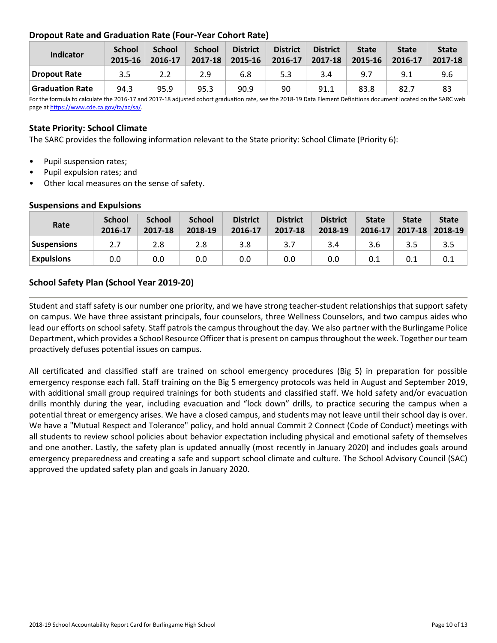# **Dropout Rate and Graduation Rate (Four-Year Cohort Rate)**

| Indicator              | <b>School</b><br>2015-16 | <b>School</b><br>2016-17 | <b>School</b><br>2017-18 | <b>District</b><br>2015-16 | <b>District</b><br>2016-17 | <b>District</b><br>2017-18 | <b>State</b><br>2015-16 | <b>State</b><br>2016-17 | <b>State</b><br>2017-18 |
|------------------------|--------------------------|--------------------------|--------------------------|----------------------------|----------------------------|----------------------------|-------------------------|-------------------------|-------------------------|
| Dropout Rate           | 3.5                      | 2.2                      | 2.9                      | 6.8                        | 5.3                        | 3.4                        | 9.7                     | 9.1                     | 9.6                     |
| <b>Graduation Rate</b> | 94.3                     | 95.9                     | 95.3                     | 90.9                       | 90                         | 91.1                       | 83.8                    | 82.7                    | 83                      |

For the formula to calculate the 2016-17 and 2017-18 adjusted cohort graduation rate, see the 2018-19 Data Element Definitions document located on the SARC web page a[t https://www.cde.ca.gov/ta/ac/sa/.](https://www.cde.ca.gov/ta/ac/sa/)

#### **State Priority: School Climate**

The SARC provides the following information relevant to the State priority: School Climate (Priority 6):

- Pupil suspension rates;
- Pupil expulsion rates; and
- Other local measures on the sense of safety.

| Rate              | <b>School</b><br>2016-17 | <b>School</b><br>2017-18 | <b>School</b><br>2018-19 | <b>District</b><br>2016-17 | <b>District</b><br>2017-18 | <b>District</b><br>2018-19 | <b>State</b> | <b>State</b><br>$2016 - 17$ 2017-18 | <b>State</b><br>2018-19 |
|-------------------|--------------------------|--------------------------|--------------------------|----------------------------|----------------------------|----------------------------|--------------|-------------------------------------|-------------------------|
| Suspensions       | 2.7                      | 2.8                      | 2.8                      | 3.8                        | 3.7                        | 3.4                        | 3.6          |                                     | 3.5                     |
| <b>Expulsions</b> | 0.0                      | 0.0                      | 0.0                      | 0.0                        | 0.0                        | 0.0                        |              |                                     |                         |

#### **Suspensions and Expulsions**

## **School Safety Plan (School Year 2019-20)**

Student and staff safety is our number one priority, and we have strong teacher-student relationships that support safety on campus. We have three assistant principals, four counselors, three Wellness Counselors, and two campus aides who lead our efforts on school safety. Staff patrols the campus throughout the day. We also partner with the Burlingame Police Department, which provides a School Resource Officer that is present on campus throughout the week. Together our team proactively defuses potential issues on campus.

All certificated and classified staff are trained on school emergency procedures (Big 5) in preparation for possible emergency response each fall. Staff training on the Big 5 emergency protocols was held in August and September 2019, with additional small group required trainings for both students and classified staff. We hold safety and/or evacuation drills monthly during the year, including evacuation and "lock down" drills, to practice securing the campus when a potential threat or emergency arises. We have a closed campus, and students may not leave until their school day is over. We have a "Mutual Respect and Tolerance" policy, and hold annual Commit 2 Connect (Code of Conduct) meetings with all students to review school policies about behavior expectation including physical and emotional safety of themselves and one another. Lastly, the safety plan is updated annually (most recently in January 2020) and includes goals around emergency preparedness and creating a safe and support school climate and culture. The School Advisory Council (SAC) approved the updated safety plan and goals in January 2020.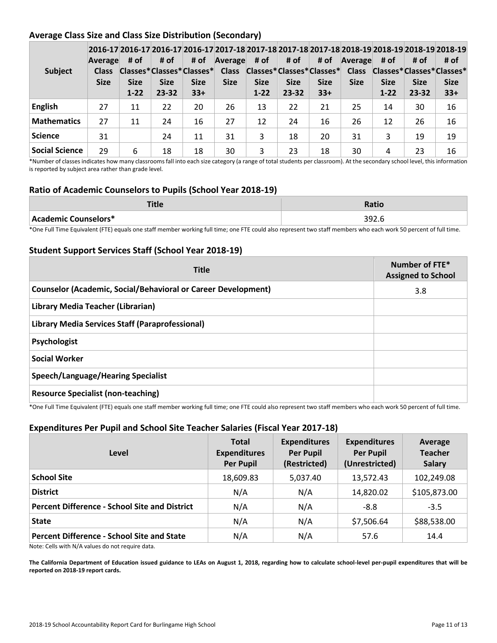# **Average Class Size and Class Size Distribution (Secondary)**

| <b>Subject</b>        | Average<br><b>Class</b><br><b>Size</b> | # of<br><b>Size</b><br>$1 - 22$ | # of<br>Classes*Classes*Classes*<br><b>Size</b><br>$23 - 32$ | # of<br><b>Size</b><br>$33+$ | Average<br><b>Class</b><br><b>Size</b> | # of<br><b>Size</b><br>$1 - 22$ | # of<br><b>Size</b><br>$23 - 32$ | # of<br>Classes*Classes*Classes*<br><b>Size</b><br>$33+$ | Average<br><b>Class</b><br><b>Size</b> | # of<br><b>Size</b><br>$1 - 22$ | # of<br>Classes*Classes*Classes*<br><b>Size</b><br>$23 - 32$ | 2016-17 2016-17 2016-17 2016-17 2017-18 2017-18 2017-18 2017-18 2017-18 2018-19 2018-19 2018-19 2018-19<br># of<br><b>Size</b><br>$33+$ |
|-----------------------|----------------------------------------|---------------------------------|--------------------------------------------------------------|------------------------------|----------------------------------------|---------------------------------|----------------------------------|----------------------------------------------------------|----------------------------------------|---------------------------------|--------------------------------------------------------------|-----------------------------------------------------------------------------------------------------------------------------------------|
| <b>English</b>        | 27                                     | 11                              | 22                                                           | 20                           | 26                                     | 13                              | 22                               | 21                                                       | 25                                     | 14                              | 30                                                           | 16                                                                                                                                      |
| <b>Mathematics</b>    | 27                                     | 11                              | 24                                                           | 16                           | 27                                     | 12                              | 24                               | 16                                                       | 26                                     | 12                              | 26                                                           | 16                                                                                                                                      |
| <b>Science</b>        | 31                                     |                                 | 24                                                           | 11                           | 31                                     | 3                               | 18                               | 20                                                       | 31                                     | 3                               | 19                                                           | 19                                                                                                                                      |
| <b>Social Science</b> | 29                                     | 6                               | 18                                                           | 18                           | 30                                     | 3                               | 23                               | 18                                                       | 30                                     | 4                               | 23                                                           | 16                                                                                                                                      |

\*Number of classes indicates how many classrooms fall into each size category (a range of total students per classroom). At the secondary school level, this information is reported by subject area rather than grade level.

#### **Ratio of Academic Counselors to Pupils (School Year 2018-19)**

|                      | <b>Ratio</b> |
|----------------------|--------------|
| Academic Counselors* | 392.6        |

\*One Full Time Equivalent (FTE) equals one staff member working full time; one FTE could also represent two staff members who each work 50 percent of full time.

## **Student Support Services Staff (School Year 2018-19)**

| <b>Title</b>                                                         | Number of FTE*<br><b>Assigned to School</b> |
|----------------------------------------------------------------------|---------------------------------------------|
| <b>Counselor (Academic, Social/Behavioral or Career Development)</b> | 3.8                                         |
| Library Media Teacher (Librarian)                                    |                                             |
| Library Media Services Staff (Paraprofessional)                      |                                             |
| Psychologist                                                         |                                             |
| <b>Social Worker</b>                                                 |                                             |
| <b>Speech/Language/Hearing Specialist</b>                            |                                             |
| <b>Resource Specialist (non-teaching)</b>                            |                                             |

\*One Full Time Equivalent (FTE) equals one staff member working full time; one FTE could also represent two staff members who each work 50 percent of full time.

## **Expenditures Per Pupil and School Site Teacher Salaries (Fiscal Year 2017-18)**

| Level                                                                                                                                                                                                                                                                                 | <b>Total</b><br><b>Expenditures</b><br><b>Per Pupil</b> | <b>Expenditures</b><br><b>Per Pupil</b><br>(Restricted) | <b>Expenditures</b><br><b>Per Pupil</b><br>(Unrestricted) | Average<br><b>Teacher</b><br><b>Salary</b> |
|---------------------------------------------------------------------------------------------------------------------------------------------------------------------------------------------------------------------------------------------------------------------------------------|---------------------------------------------------------|---------------------------------------------------------|-----------------------------------------------------------|--------------------------------------------|
| <b>School Site</b>                                                                                                                                                                                                                                                                    | 18,609.83                                               | 5,037.40                                                | 13,572.43                                                 | 102,249.08                                 |
| <b>District</b>                                                                                                                                                                                                                                                                       | N/A                                                     | N/A                                                     | 14,820.02                                                 | \$105,873.00                               |
| <b>Percent Difference - School Site and District</b>                                                                                                                                                                                                                                  | N/A                                                     | N/A                                                     | $-8.8$                                                    | $-3.5$                                     |
| <b>State</b>                                                                                                                                                                                                                                                                          | N/A                                                     | N/A                                                     | \$7,506.64                                                | \$88,538.00                                |
| <b>Percent Difference - School Site and State</b><br>$\mathbf{a}$ , and the set of the set of the set of the set of the set of the set of the set of the set of the set of the set of the set of the set of the set of the set of the set of the set of the set of the set of the set | N/A                                                     | N/A                                                     | 57.6                                                      | 14.4                                       |

Note: Cells with N/A values do not require data.

**The California Department of Education issued guidance to LEAs on August 1, 2018, regarding how to calculate school-level per-pupil expenditures that will be reported on 2018-19 report cards.**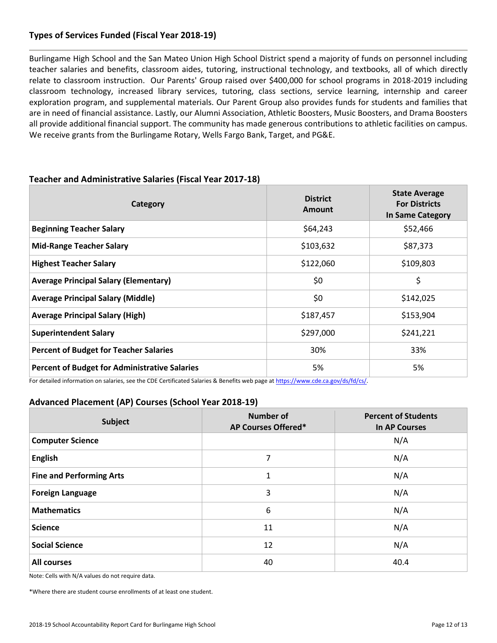# **Types of Services Funded (Fiscal Year 2018-19)**

Burlingame High School and the San Mateo Union High School District spend a majority of funds on personnel including teacher salaries and benefits, classroom aides, tutoring, instructional technology, and textbooks, all of which directly relate to classroom instruction. Our Parents' Group raised over \$400,000 for school programs in 2018-2019 including classroom technology, increased library services, tutoring, class sections, service learning, internship and career exploration program, and supplemental materials. Our Parent Group also provides funds for students and families that are in need of financial assistance. Lastly, our Alumni Association, Athletic Boosters, Music Boosters, and Drama Boosters all provide additional financial support. The community has made generous contributions to athletic facilities on campus. We receive grants from the Burlingame Rotary, Wells Fargo Bank, Target, and PG&E.

| Category                                             | <b>District</b><br>Amount | <b>State Average</b><br><b>For Districts</b><br>In Same Category |
|------------------------------------------------------|---------------------------|------------------------------------------------------------------|
| <b>Beginning Teacher Salary</b>                      | \$64,243                  | \$52,466                                                         |
| <b>Mid-Range Teacher Salary</b>                      | \$103,632                 | \$87,373                                                         |
| <b>Highest Teacher Salary</b>                        | \$122,060                 | \$109,803                                                        |
| <b>Average Principal Salary (Elementary)</b>         | \$0                       | \$                                                               |
| <b>Average Principal Salary (Middle)</b>             | \$0                       | \$142,025                                                        |
| <b>Average Principal Salary (High)</b>               | \$187,457                 | \$153,904                                                        |
| <b>Superintendent Salary</b>                         | \$297,000                 | \$241,221                                                        |
| <b>Percent of Budget for Teacher Salaries</b>        | 30%                       | 33%                                                              |
| <b>Percent of Budget for Administrative Salaries</b> | 5%                        | 5%                                                               |

#### **Teacher and Administrative Salaries (Fiscal Year 2017-18)**

For detailed information on salaries, see the CDE Certificated Salaries & Benefits web page at [https://www.cde.ca.gov/ds/fd/cs/.](http://www.cde.ca.gov/ds/fd/cs/) 

## **Advanced Placement (AP) Courses (School Year 2018-19)**

| <b>Subject</b>                  | <b>Number of</b><br>AP Courses Offered* | <b>Percent of Students</b><br><b>In AP Courses</b> |  |
|---------------------------------|-----------------------------------------|----------------------------------------------------|--|
| <b>Computer Science</b>         |                                         | N/A                                                |  |
| <b>English</b>                  | 7                                       | N/A                                                |  |
| <b>Fine and Performing Arts</b> | 1                                       | N/A                                                |  |
| <b>Foreign Language</b>         | 3                                       | N/A                                                |  |
| <b>Mathematics</b>              | 6                                       | N/A                                                |  |
| <b>Science</b>                  | 11                                      | N/A                                                |  |
| <b>Social Science</b>           | 12                                      | N/A                                                |  |
| <b>All courses</b>              | 40                                      | 40.4                                               |  |

Note: Cells with N/A values do not require data.

\*Where there are student course enrollments of at least one student.